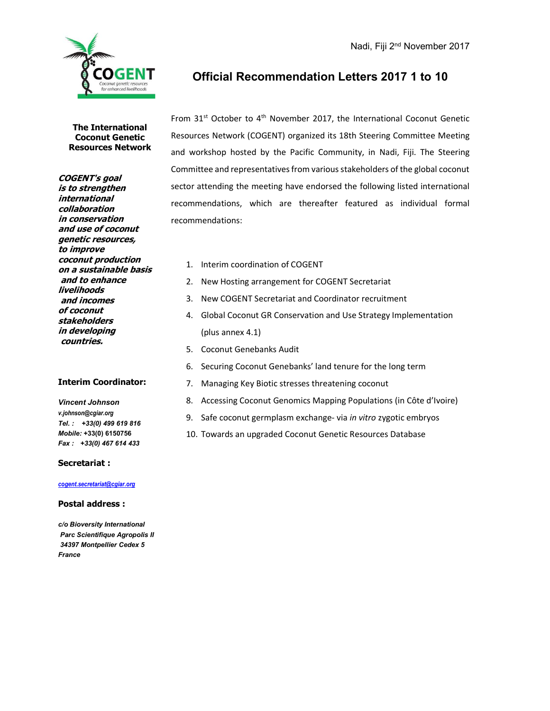

## Official Recommendation Letters 2017 1 to 10

From  $31^{st}$  October to  $4^{th}$  November 2017, the International Coconut Genetic Resources Network (COGENT) organized its 18th Steering Committee Meeting and workshop hosted by the Pacific Community, in Nadi, Fiji. The Steering Committee and representatives from various stakeholders of the global coconut sector attending the meeting have endorsed the following listed international recommendations, which are thereafter featured as individual formal recommendations:

- 1. Interim coordination of COGENT
- 2. New Hosting arrangement for COGENT Secretariat
- 3. New COGENT Secretariat and Coordinator recruitment
- 4. Global Coconut GR Conservation and Use Strategy Implementation (plus annex 4.1)
- 5. Coconut Genebanks Audit
- 6. Securing Coconut Genebanks' land tenure for the long term
- 7. Managing Key Biotic stresses threatening coconut
- 8. Accessing Coconut Genomics Mapping Populations (in Côte d'Ivoire)
- 9. Safe coconut germplasm exchange- via in vitro zygotic embryos
- 10. Towards an upgraded Coconut Genetic Resources Database

The International Coconut Genetic Resources Network

COGENT's goal is to strengthen international collaboration in conservation and use of coconut genetic resources, to improve coconut production on a sustainable basis and to enhance livelihoods and incomes of coconut stakeholders in developing countries.

### Interim Coordinator:

Vincent Johnson v.johnson@cgiar.org Tel. : +33(0) 499 619 816 Mobile: +33(0) 6150756 Fax : +33(0) 467 614 433

#### Secretariat :

### cogent.secretariat@cgiar.org

#### Postal address :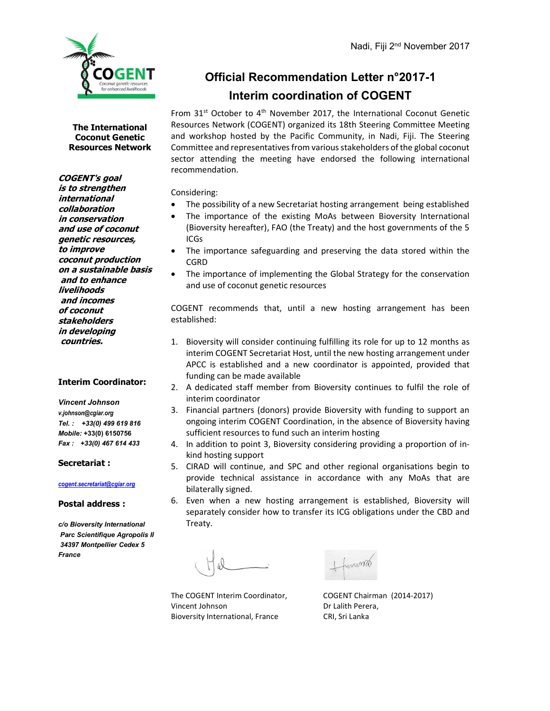

# Official Recommendation Letter n°2017-1 Interim coordination of COGENT

From  $31^{st}$  October to  $4^{th}$  November 2017, the International Coconut Genetic Resources Network (COGENT) organized its 18th Steering Committee Meeting and workshop hosted by the Pacific Community, in Nadi, Fiji. The Steering Committee and representatives from various stakeholders of the global coconut sector attending the meeting have endorsed the following international recommendation.

Considering:

- The possibility of a new Secretariat hosting arrangement being established
- The importance of the existing MoAs between Bioversity International (Bioversity hereafter), FAO (the Treaty) and the host governments of the 5 ICGs
- The importance safeguarding and preserving the data stored within the CGRD
- The importance of implementing the Global Strategy for the conservation and use of coconut genetic resources

COGENT recommends that, until a new hosting arrangement has been established:

- 1. Bioversity will consider continuing fulfilling its role for up to 12 months as interim COGENT Secretariat Host, until the new hosting arrangement under APCC is established and a new coordinator is appointed, provided that funding can be made available
- 2. A dedicated staff member from Bioversity continues to fulfil the role of interim coordinator
- 3. Financial partners (donors) provide Bioversity with funding to support an ongoing interim COGENT Coordination, in the absence of Bioversity having sufficient resources to fund such an interim hosting
- 4. In addition to point 3, Bioversity considering providing a proportion of inkind hosting support
- 5. CIRAD will continue, and SPC and other regional organisations begin to provide technical assistance in accordance with any MoAs that are bilaterally signed.
- 6. Even when a new hosting arrangement is established, Bioversity will separately consider how to transfer its ICG obligations under the CBD and Treaty.

Vincent Johnson Dr Lalith Perera, Bioversity International, France CRI, Sri Lanka

The COGENT Interim Coordinator, COGENT Chairman (2014-2017)

COGENT's goal is to strengthen international collaboration in conservation and use of coconut genetic resources, to improve coconut production on a sustainable basis and to enhance livelihoods and incomes of coconut stakeholders in developing countries.

### Interim Coordinator:

Vincent Johnson v.johnson@cgiar.org Tel. : +33(0) 499 619 816 Mobile: +33(0) 6150756 Fax : +33(0) 467 614 433

#### Secretariat :

cogent.secretariat@cgiar.org

Postal address :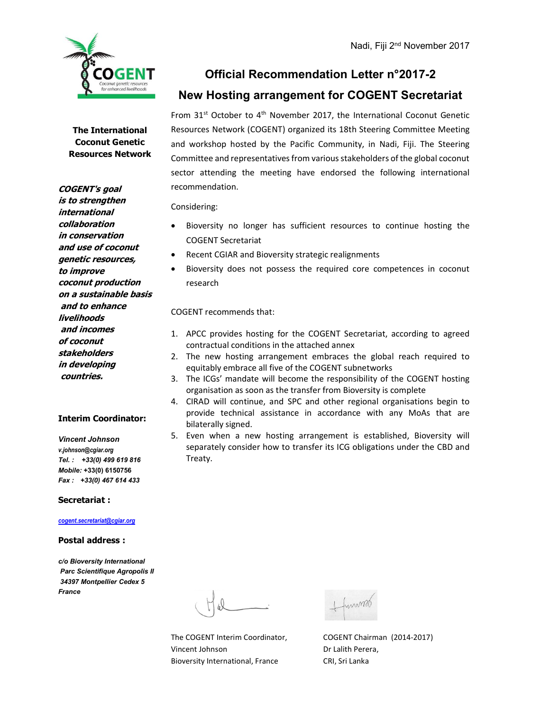

## Official Recommendation Letter n°2017-2

## New Hosting arrangement for COGENT Secretariat

From  $31^{st}$  October to  $4^{th}$  November 2017, the International Coconut Genetic Resources Network (COGENT) organized its 18th Steering Committee Meeting and workshop hosted by the Pacific Community, in Nadi, Fiji. The Steering Committee and representatives from various stakeholders of the global coconut sector attending the meeting have endorsed the following international recommendation.

#### Considering:

- Bioversity no longer has sufficient resources to continue hosting the COGENT Secretariat
- Recent CGIAR and Bioversity strategic realignments
- Bioversity does not possess the required core competences in coconut research

COGENT recommends that:

- 1. APCC provides hosting for the COGENT Secretariat, according to agreed contractual conditions in the attached annex
- 2. The new hosting arrangement embraces the global reach required to equitably embrace all five of the COGENT subnetworks
- 3. The ICGs' mandate will become the responsibility of the COGENT hosting organisation as soon as the transfer from Bioversity is complete
- 4. CIRAD will continue, and SPC and other regional organisations begin to provide technical assistance in accordance with any MoAs that are bilaterally signed.
- 5. Even when a new hosting arrangement is established, Bioversity will separately consider how to transfer its ICG obligations under the CBD and Treaty.

Vincent Johnson Dr Lalith Perera, Bioversity International, France CRI, Sri Lanka

The COGENT Interim Coordinator, COGENT Chairman (2014-2017)

COGENT's goal is to strengthen international collaboration in conservation and use of coconut genetic resources, to improve coconut production on a sustainable basis and to enhance livelihoods and incomes of coconut stakeholders in developing countries.

#### Interim Coordinator:

Vincent Johnson v.johnson@cgiar.org Tel. : +33(0) 499 619 816 Mobile: +33(0) 6150756 Fax : +33(0) 467 614 433

#### Secretariat :

cogent.secretariat@cgiar.org

#### Postal address :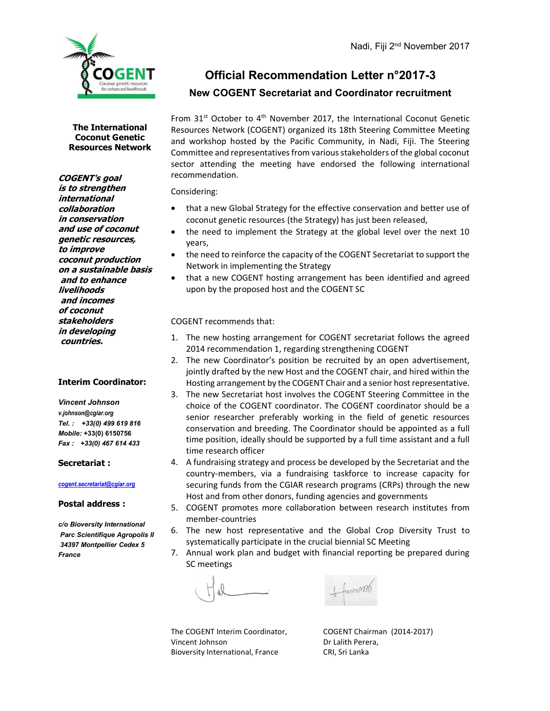

# Official Recommendation Letter n°2017-3 New COGENT Secretariat and Coordinator recruitment

The International Coconut Genetic Resources Network

COGENT's goal is to strengthen international collaboration in conservation and use of coconut genetic resources, to improve coconut production on a sustainable basis and to enhance livelihoods and incomes of coconut stakeholders in developing countries.

### Interim Coordinator:

Vincent Johnson v.johnson@cgiar.org Tel. : +33(0) 499 619 816 Mobile: +33(0) 6150756 Fax : +33(0) 467 614 433

#### Secretariat :

cogent.secretariat@cgiar.org

Postal address :

c/o Bioversity International Parc Scientifique Agropolis II 34397 Montpellier Cedex 5 France

From  $31^{st}$  October to  $4^{th}$  November 2017, the International Coconut Genetic Resources Network (COGENT) organized its 18th Steering Committee Meeting and workshop hosted by the Pacific Community, in Nadi, Fiji. The Steering Committee and representatives from various stakeholders of the global coconut sector attending the meeting have endorsed the following international recommendation.

Considering:

- that a new Global Strategy for the effective conservation and better use of coconut genetic resources (the Strategy) has just been released,
- the need to implement the Strategy at the global level over the next 10 years,
- the need to reinforce the capacity of the COGENT Secretariat to support the Network in implementing the Strategy
- that a new COGENT hosting arrangement has been identified and agreed upon by the proposed host and the COGENT SC

COGENT recommends that:

- 1. The new hosting arrangement for COGENT secretariat follows the agreed 2014 recommendation 1, regarding strengthening COGENT
- 2. The new Coordinator's position be recruited by an open advertisement, jointly drafted by the new Host and the COGENT chair, and hired within the Hosting arrangement by the COGENT Chair and a senior host representative.
- 3. The new Secretariat host involves the COGENT Steering Committee in the choice of the COGENT coordinator. The COGENT coordinator should be a senior researcher preferably working in the field of genetic resources conservation and breeding. The Coordinator should be appointed as a full time position, ideally should be supported by a full time assistant and a full time research officer
- 4. A fundraising strategy and process be developed by the Secretariat and the country-members, via a fundraising taskforce to increase capacity for securing funds from the CGIAR research programs (CRPs) through the new Host and from other donors, funding agencies and governments
- 5. COGENT promotes more collaboration between research institutes from member-countries
- 6. The new host representative and the Global Crop Diversity Trust to systematically participate in the crucial biennial SC Meeting
- 7. Annual work plan and budget with financial reporting be prepared during SC meetings

unimat

Vincent Johnson Dr Lalith Perera, Bioversity International, France CRI, Sri Lanka

The COGENT Interim Coordinator, COGENT Chairman (2014-2017)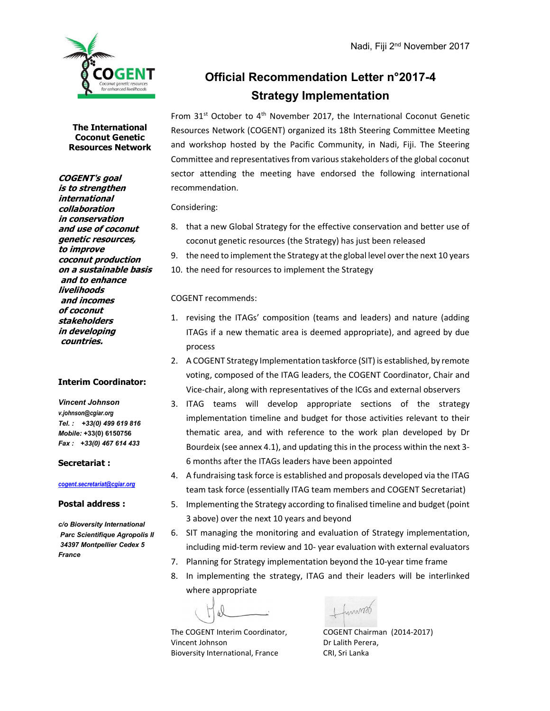

# Official Recommendation Letter n°2017-4 Strategy Implementation

From 31<sup>st</sup> October to 4<sup>th</sup> November 2017, the International Coconut Genetic Resources Network (COGENT) organized its 18th Steering Committee Meeting and workshop hosted by the Pacific Community, in Nadi, Fiji. The Steering Committee and representatives from various stakeholders of the global coconut sector attending the meeting have endorsed the following international recommendation.

Considering:

- 8. that a new Global Strategy for the effective conservation and better use of coconut genetic resources (the Strategy) has just been released
- 9. the need to implement the Strategy at the global level over the next 10 years
- 10. the need for resources to implement the Strategy

### COGENT recommends:

- 1. revising the ITAGs' composition (teams and leaders) and nature (adding ITAGs if a new thematic area is deemed appropriate), and agreed by due process
- 2. A COGENT Strategy Implementation taskforce (SIT) is established, by remote voting, composed of the ITAG leaders, the COGENT Coordinator, Chair and Vice-chair, along with representatives of the ICGs and external observers
- 3. ITAG teams will develop appropriate sections of the strategy implementation timeline and budget for those activities relevant to their thematic area, and with reference to the work plan developed by Dr Bourdeix (see annex 4.1), and updating this in the process within the next 3- 6 months after the ITAGs leaders have been appointed
- 4. A fundraising task force is established and proposals developed via the ITAG team task force (essentially ITAG team members and COGENT Secretariat)
- 5. Implementing the Strategy according to finalised timeline and budget (point 3 above) over the next 10 years and beyond
- 6. SIT managing the monitoring and evaluation of Strategy implementation, including mid-term review and 10- year evaluation with external evaluators
- 7. Planning for Strategy implementation beyond the 10-year time frame
- 8. In implementing the strategy, ITAG and their leaders will be interlinked where appropriate

funnos

The COGENT Interim Coordinator, COGENT Chairman (2014-2017) Vincent Johnson Dr Lalith Perera, Bioversity International, France CRI, Sri Lanka

COGENT's goal is to strengthen international collaboration in conservation and use of coconut genetic resources, to improve coconut production on a sustainable basis and to enhance livelihoods and incomes of coconut stakeholders in developing countries.

### Interim Coordinator:

Vincent Johnson v.johnson@cgiar.org Tel. : +33(0) 499 619 816 Mobile: +33(0) 6150756 Fax : +33(0) 467 614 433

#### Secretariat :

#### cogent.secretariat@cgiar.org

### Postal address :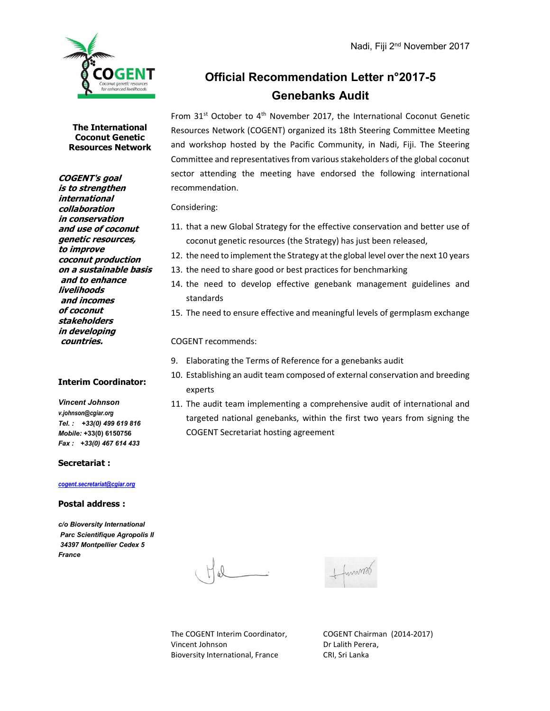

# Official Recommendation Letter n°2017-5 Genebanks Audit

From  $31^{st}$  October to  $4^{th}$  November 2017, the International Coconut Genetic Resources Network (COGENT) organized its 18th Steering Committee Meeting and workshop hosted by the Pacific Community, in Nadi, Fiji. The Steering Committee and representatives from various stakeholders of the global coconut sector attending the meeting have endorsed the following international recommendation.

Considering:

- 11. that a new Global Strategy for the effective conservation and better use of coconut genetic resources (the Strategy) has just been released,
- 12. the need to implement the Strategy at the global level over the next 10 years
- 13. the need to share good or best practices for benchmarking
- 14. the need to develop effective genebank management guidelines and standards
- 15. The need to ensure effective and meaningful levels of germplasm exchange

COGENT recommends:

- 9. Elaborating the Terms of Reference for a genebanks audit
- 10. Establishing an audit team composed of external conservation and breeding experts
- 11. The audit team implementing a comprehensive audit of international and targeted national genebanks, within the first two years from signing the COGENT Secretariat hosting agreement

Interim Coordinator:

Vincent Johnson v.johnson@cgiar.org Tel. : +33(0) 499 619 816 Mobile: +33(0) 6150756 Fax : +33(0) 467 614 433

#### Secretariat :

#### cogent.secretariat@cgiar.org

#### Postal address :

c/o Bioversity International Parc Scientifique Agropolis II 34397 Montpellier Cedex 5 France



The COGENT Interim Coordinator, COGENT Chairman (2014-2017) Vincent Johnson Dr Lalith Perera, Bioversity International, France CRI, Sri Lanka

COGENT's goal is to strengthen international collaboration

in conservation and use of coconut genetic resources, to improve coconut production on a sustainable basis and to enhance livelihoods and incomes of coconut stakeholders in developing countries.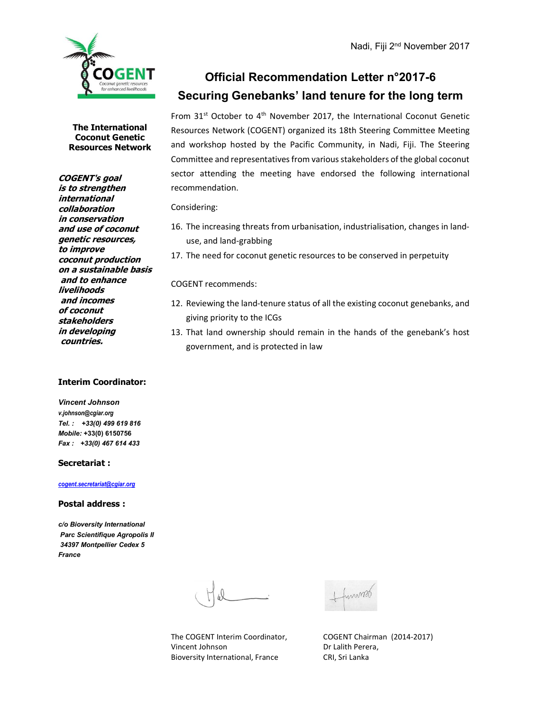

COGENT's goal is to strengthen international collaboration in conservation and use of coconut genetic resources,

to improve

coconut production on a sustainable basis and to enhance livelihoods and incomes of coconut stakeholders in developing countries.

# Official Recommendation Letter n°2017-6 Securing Genebanks' land tenure for the long term

From  $31^{st}$  October to  $4^{th}$  November 2017, the International Coconut Genetic Resources Network (COGENT) organized its 18th Steering Committee Meeting and workshop hosted by the Pacific Community, in Nadi, Fiji. The Steering Committee and representatives from various stakeholders of the global coconut sector attending the meeting have endorsed the following international recommendation.

Considering:

- 16. The increasing threats from urbanisation, industrialisation, changes in landuse, and land-grabbing
- 17. The need for coconut genetic resources to be conserved in perpetuity

COGENT recommends:

- 12. Reviewing the land-tenure status of all the existing coconut genebanks, and giving priority to the ICGs
- 13. That land ownership should remain in the hands of the genebank's host government, and is protected in law

#### Interim Coordinator:

Vincent Johnson v.johnson@cgiar.org Tel. : +33(0) 499 619 816 Mobile: +33(0) 6150756 Fax : +33(0) 467 614 433

#### Secretariat :

cogent.secretariat@cgiar.org

#### Postal address :

c/o Bioversity International Parc Scientifique Agropolis II 34397 Montpellier Cedex 5 France

The COGENT Interim Coordinator, COGENT Chairman (2014-2017) Vincent Johnson Dr Lalith Perera, Bioversity International, France CRI, Sri Lanka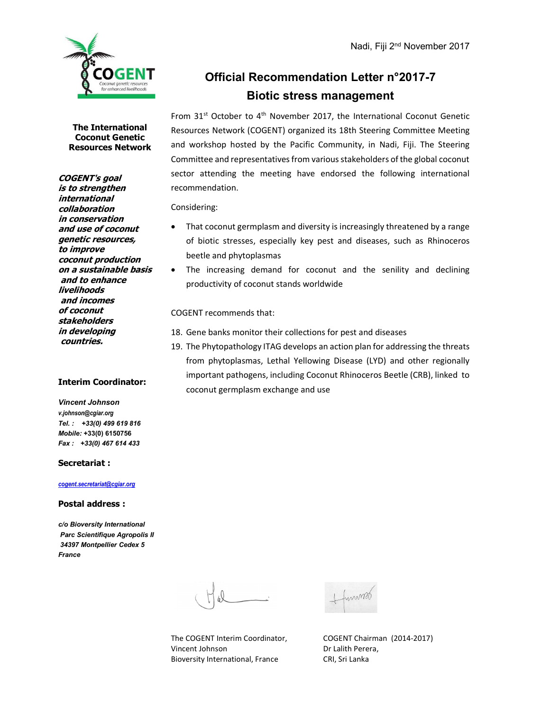

# Official Recommendation Letter n°2017-7 Biotic stress management

From  $31^{st}$  October to  $4^{th}$  November 2017, the International Coconut Genetic Resources Network (COGENT) organized its 18th Steering Committee Meeting and workshop hosted by the Pacific Community, in Nadi, Fiji. The Steering Committee and representatives from various stakeholders of the global coconut sector attending the meeting have endorsed the following international recommendation.

Considering:

- That coconut germplasm and diversity is increasingly threatened by a range of biotic stresses, especially key pest and diseases, such as Rhinoceros beetle and phytoplasmas
- The increasing demand for coconut and the senility and declining productivity of coconut stands worldwide

COGENT recommends that:

- 18. Gene banks monitor their collections for pest and diseases
- 19. The Phytopathology ITAG develops an action plan for addressing the threats from phytoplasmas, Lethal Yellowing Disease (LYD) and other regionally important pathogens, including Coconut Rhinoceros Beetle (CRB), linked to coconut germplasm exchange and use

The International Coconut Genetic Resources Network

COGENT's goal is to strengthen international collaboration in conservation and use of coconut genetic resources, to improve coconut production on a sustainable basis and to enhance livelihoods and incomes of coconut stakeholders in developing countries.

### Interim Coordinator:

Vincent Johnson v.johnson@cgiar.org Tel. : +33(0) 499 619 816 Mobile: +33(0) 6150756 Fax : +33(0) 467 614 433

#### Secretariat :

#### cogent.secretariat@cgiar.org

#### Postal address :

c/o Bioversity International Parc Scientifique Agropolis II 34397 Montpellier Cedex 5 France

The COGENT Interim Coordinator, COGENT Chairman (2014-2017) Vincent Johnson Dr Lalith Perera, Bioversity International, France CRI, Sri Lanka

innmot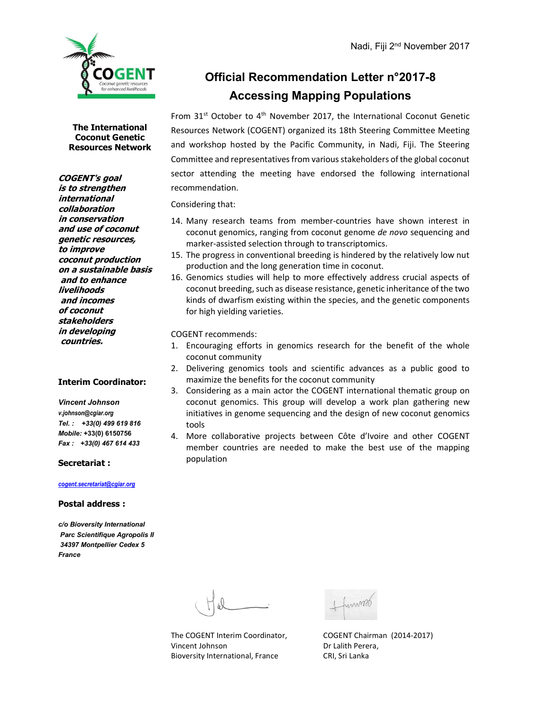

COGENT's goal is to strengthen international collaboration in conservation and use of coconut genetic resources,

to improve

coconut production on a sustainable basis and to enhance livelihoods and incomes of coconut stakeholders in developing countries.

# Official Recommendation Letter n°2017-8 Accessing Mapping Populations

From  $31^{st}$  October to  $4^{th}$  November 2017, the International Coconut Genetic Resources Network (COGENT) organized its 18th Steering Committee Meeting and workshop hosted by the Pacific Community, in Nadi, Fiji. The Steering Committee and representatives from various stakeholders of the global coconut sector attending the meeting have endorsed the following international recommendation.

Considering that:

- 14. Many research teams from member-countries have shown interest in coconut genomics, ranging from coconut genome de novo sequencing and marker-assisted selection through to transcriptomics.
- 15. The progress in conventional breeding is hindered by the relatively low nut production and the long generation time in coconut.
- 16. Genomics studies will help to more effectively address crucial aspects of coconut breeding, such as disease resistance, genetic inheritance of the two kinds of dwarfism existing within the species, and the genetic components for high yielding varieties.

COGENT recommends:

- 1. Encouraging efforts in genomics research for the benefit of the whole coconut community
- 2. Delivering genomics tools and scientific advances as a public good to maximize the benefits for the coconut community
- 3. Considering as a main actor the COGENT international thematic group on coconut genomics. This group will develop a work plan gathering new initiatives in genome sequencing and the design of new coconut genomics tools
- 4. More collaborative projects between Côte d'Ivoire and other COGENT member countries are needed to make the best use of the mapping population

Interim Coordinator:

Vincent Johnson v.johnson@cgiar.org Tel. : +33(0) 499 619 816 Mobile: +33(0) 6150756 Fax : +33(0) 467 614 433

#### Secretariat :

cogent.secretariat@cgiar.org

#### Postal address :

Vincent Johnson Dr Lalith Perera, Bioversity International, France CRI, Sri Lanka

The COGENT Interim Coordinator, COGENT Chairman (2014-2017)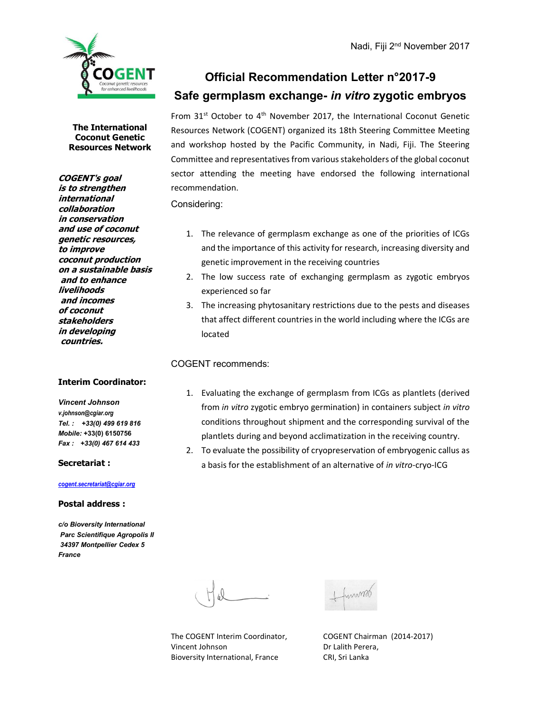

# Official Recommendation Letter n°2017-9 Safe germplasm exchange- in vitro zygotic embryos

The International Coconut Genetic Resources Network

COGENT's goal is to strengthen international collaboration in conservation and use of coconut genetic resources, to improve coconut production on a sustainable basis and to enhance livelihoods and incomes of coconut stakeholders in developing countries.

#### Interim Coordinator:

Vincent Johnson v.johnson@cgiar.org Tel. : +33(0) 499 619 816 Mobile: +33(0) 6150756 Fax : +33(0) 467 614 433

Secretariat :

#### cogent.secretariat@cgiar.org

#### Postal address :

c/o Bioversity International Parc Scientifique Agropolis II 34397 Montpellier Cedex 5 France

From  $31^{st}$  October to  $4^{th}$  November 2017, the International Coconut Genetic Resources Network (COGENT) organized its 18th Steering Committee Meeting and workshop hosted by the Pacific Community, in Nadi, Fiji. The Steering Committee and representatives from various stakeholders of the global coconut sector attending the meeting have endorsed the following international recommendation.

Considering:

- 1. The relevance of germplasm exchange as one of the priorities of ICGs and the importance of this activity for research, increasing diversity and genetic improvement in the receiving countries
- 2. The low success rate of exchanging germplasm as zygotic embryos experienced so far
- 3. The increasing phytosanitary restrictions due to the pests and diseases that affect different countries in the world including where the ICGs are located

#### COGENT recommends:

- 1. Evaluating the exchange of germplasm from ICGs as plantlets (derived from in vitro zygotic embryo germination) in containers subject in vitro conditions throughout shipment and the corresponding survival of the plantlets during and beyond acclimatization in the receiving country.
- 2. To evaluate the possibility of cryopreservation of embryogenic callus as a basis for the establishment of an alternative of in vitro-cryo-ICG

The COGENT Interim Coordinator, COGENT Chairman (2014-2017) Vincent Johnson Dr Lalith Perera, Bioversity International, France CRI, Sri Lanka

mmood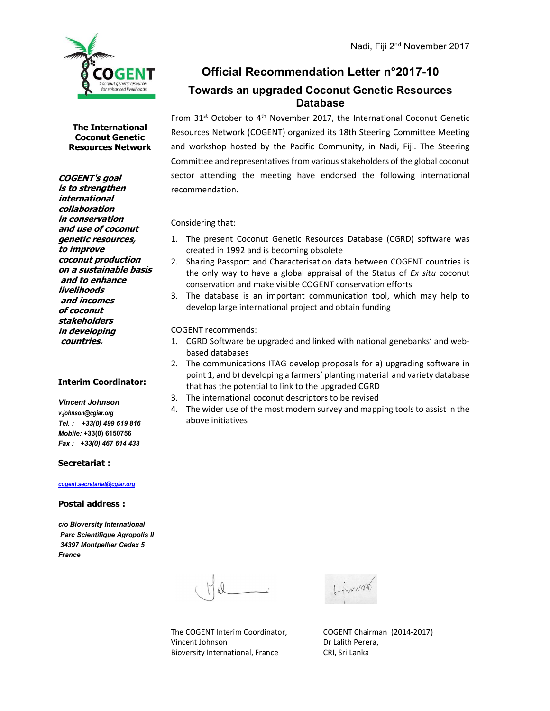

## Official Recommendation Letter n°2017-10 Towards an upgraded Coconut Genetic Resources Database

From  $31^{st}$  October to  $4^{th}$  November 2017, the International Coconut Genetic Resources Network (COGENT) organized its 18th Steering Committee Meeting and workshop hosted by the Pacific Community, in Nadi, Fiji. The Steering Committee and representatives from various stakeholders of the global coconut sector attending the meeting have endorsed the following international recommendation.

Considering that:

- 1. The present Coconut Genetic Resources Database (CGRD) software was created in 1992 and is becoming obsolete
- 2. Sharing Passport and Characterisation data between COGENT countries is the only way to have a global appraisal of the Status of Ex situ coconut conservation and make visible COGENT conservation efforts
- 3. The database is an important communication tool, which may help to develop large international project and obtain funding

COGENT recommends:

- 1. CGRD Software be upgraded and linked with national genebanks' and webbased databases
- 2. The communications ITAG develop proposals for a) upgrading software in point 1, and b) developing a farmers' planting material and variety database that has the potential to link to the upgraded CGRD
- 3. The international coconut descriptors to be revised
- 4. The wider use of the most modern survey and mapping tools to assist in the above initiatives

Secretariat :

#### cogent.secretariat@cgiar.org

#### Postal address :

c/o Bioversity International Parc Scientifique Agropolis II 34397 Montpellier Cedex 5 France



COGENT's goal is to strengthen international collaboration in conservation and use of coconut genetic resources, to improve coconut production on a sustainable basis and to enhance

livelihoods and incomes of coconut stakeholders in developing countries.

Interim Coordinator:

Vincent Johnson v.johnson@cgiar.org Tel. : +33(0) 499 619 816 Mobile: +33(0) 6150756 Fax : +33(0) 467 614 433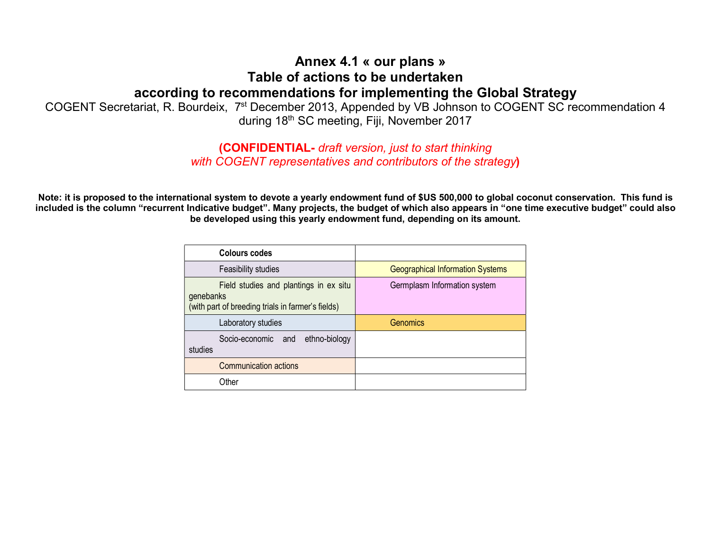## Annex 4.1 « our plans » Table of actions to be undertaken according to recommendations for implementing the Global Strategy

COGENT Secretariat, R. Bourdeix, 7st December 2013, Appended by VB Johnson to COGENT SC recommendation 4 during 18th SC meeting, Fiji, November 2017

## (CONFIDENTIAL- draft version, just to start thinking with COGENT representatives and contributors of the strategy)

Note: it is proposed to the international system to devote a yearly endowment fund of \$US 500,000 to global coconut conservation. This fund is included is the column "recurrent Indicative budget". Many projects, the budget of which also appears in "one time executive budget" could also be developed using this yearly endowment fund, depending on its amount.

| Colours codes                                                                                            |                                         |
|----------------------------------------------------------------------------------------------------------|-----------------------------------------|
| Feasibility studies                                                                                      | <b>Geographical Information Systems</b> |
| Field studies and plantings in ex situ<br>genebanks<br>(with part of breeding trials in farmer's fields) | Germplasm Information system            |
| Laboratory studies                                                                                       | Genomics                                |
| Socio-economic and<br>ethno-biology<br>studies                                                           |                                         |
| Communication actions                                                                                    |                                         |
| Other                                                                                                    |                                         |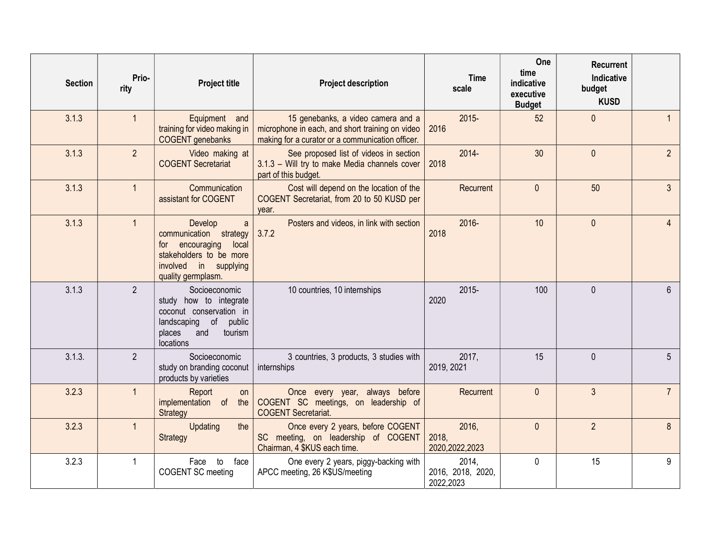| <b>Section</b> | Prio-<br>rity  | <b>Project title</b>                                                                                                                            | <b>Project description</b>                                                                                                                | <b>Time</b><br>scale                    | One<br>time<br>indicative<br>executive<br><b>Budget</b> | <b>Recurrent</b><br><b>Indicative</b><br>budget<br><b>KUSD</b> |                |
|----------------|----------------|-------------------------------------------------------------------------------------------------------------------------------------------------|-------------------------------------------------------------------------------------------------------------------------------------------|-----------------------------------------|---------------------------------------------------------|----------------------------------------------------------------|----------------|
| 3.1.3          | $\mathbf{1}$   | Equipment and<br>training for video making in<br><b>COGENT</b> genebanks                                                                        | 15 genebanks, a video camera and a<br>microphone in each, and short training on video<br>making for a curator or a communication officer. | $2015 -$<br>2016                        | 52                                                      | $\mathbf{0}$                                                   |                |
| 3.1.3          | 2 <sup>1</sup> | Video making at<br><b>COGENT Secretariat</b>                                                                                                    | See proposed list of videos in section<br>3.1.3 - Will try to make Media channels cover<br>part of this budget.                           | $2014 -$<br>2018                        | 30                                                      | $\mathbf{0}$                                                   | $\overline{2}$ |
| 3.1.3          | $\mathbf{1}$   | Communication<br>assistant for COGENT                                                                                                           | Cost will depend on the location of the<br>COGENT Secretariat, from 20 to 50 KUSD per<br>year.                                            | Recurrent                               | $\mathbf{0}$                                            | 50                                                             | $\overline{3}$ |
| 3.1.3          | $\mathbf{1}$   | Develop<br>a<br>communication strategy<br>encouraging<br>local<br>for<br>stakeholders to be more<br>involved in supplying<br>quality germplasm. | Posters and videos, in link with section<br>3.7.2                                                                                         | 2016-<br>2018                           | 10                                                      | $\mathbf{0}$                                                   |                |
| 3.1.3          | $\overline{2}$ | Socioeconomic<br>study how to integrate<br>coconut conservation in<br>landscaping of<br>public<br>tourism<br>places<br>and<br>locations         | 10 countries, 10 internships                                                                                                              | $2015 -$<br>2020                        | 100                                                     | $\Omega$                                                       | 6              |
| 3.1.3.         | $\overline{2}$ | Socioeconomic<br>study on branding coconut<br>products by varieties                                                                             | 3 countries, 3 products, 3 studies with<br>internships                                                                                    | 2017,<br>2019, 2021                     | 15                                                      | $\mathbf{0}$                                                   | 5              |
| 3.2.3          | $\mathbf{1}$   | Report<br>on<br>implementation of<br>the<br>Strategy                                                                                            | Once every year, always before<br>COGENT SC meetings, on leadership of<br><b>COGENT Secretariat.</b>                                      | Recurrent                               | $\mathbf{0}$                                            | $\mathbf{3}$                                                   | $\overline{7}$ |
| 3.2.3          | $\mathbf{1}$   | Updating<br>the<br>Strategy                                                                                                                     | Once every 2 years, before COGENT<br>SC meeting, on leadership of COGENT<br>Chairman, 4 \$KUS each time.                                  | 2016,<br>2018,<br>2020, 2022, 2023      | $\mathbf{0}$                                            | $\overline{2}$                                                 | 8              |
| 3.2.3          | $\mathbf{1}$   | face<br>Face<br>to<br>COGENT SC meeting                                                                                                         | One every 2 years, piggy-backing with<br>APCC meeting, 26 K\$US/meeting                                                                   | 2014,<br>2016, 2018, 2020,<br>2022,2023 | $\mathbf 0$                                             | 15                                                             | 9              |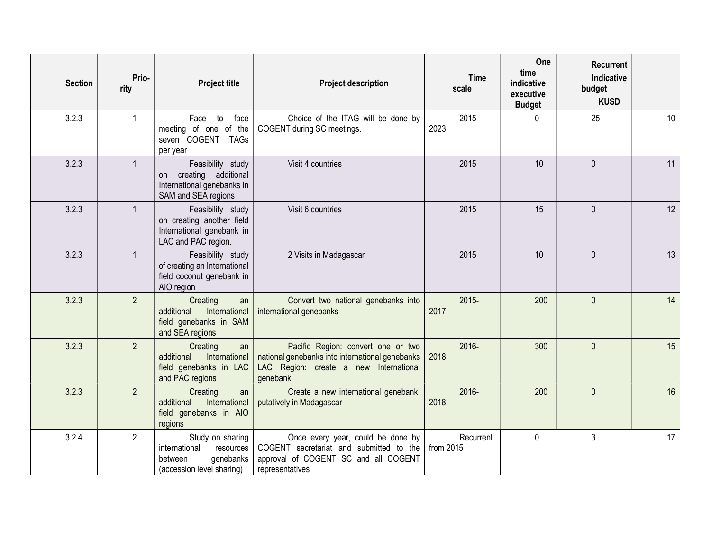| <b>Section</b> | Prio-<br>rity  | <b>Project title</b>                                                                                | <b>Project description</b>                                                                                                                  | <b>Time</b><br>scale   | One<br>time<br>indicative<br>executive<br><b>Budget</b> | Recurrent<br>Indicative<br>budget<br><b>KUSD</b> |    |
|----------------|----------------|-----------------------------------------------------------------------------------------------------|---------------------------------------------------------------------------------------------------------------------------------------------|------------------------|---------------------------------------------------------|--------------------------------------------------|----|
| 3.2.3          | $\mathbf{1}$   | Face to<br>face<br>meeting of one of the<br>seven COGENT ITAGs<br>per year                          | Choice of the ITAG will be done by<br>COGENT during SC meetings.                                                                            | 2015-<br>2023          | 0                                                       | 25                                               | 10 |
| 3.2.3          | $\mathbf{1}$   | Feasibility study<br>on creating additional<br>International genebanks in<br>SAM and SEA regions    | Visit 4 countries                                                                                                                           | 2015                   | 10                                                      | $\mathbf{0}$                                     | 11 |
| 3.2.3          | $\mathbf{1}$   | Feasibility study<br>on creating another field<br>International genebank in<br>LAC and PAC region.  | Visit 6 countries                                                                                                                           | 2015                   | 15                                                      | $\mathbf{0}$                                     | 12 |
| 3.2.3          | $\mathbf{1}$   | Feasibility study<br>of creating an International<br>field coconut genebank in<br>AIO region        | 2 Visits in Madagascar                                                                                                                      | 2015                   | 10                                                      | $\mathbf{0}$                                     | 13 |
| 3.2.3          | $\overline{2}$ | Creating<br>an<br>additional<br>International<br>field genebanks in SAM<br>and SEA regions          | Convert two national genebanks into<br>international genebanks                                                                              | $2015 -$<br>2017       | 200                                                     | $\mathbf{0}$                                     | 14 |
| 3.2.3          | $\overline{2}$ | Creating<br>an<br>International<br>additional<br>field genebanks in LAC<br>and PAC regions          | Pacific Region: convert one or two<br>national genebanks into international genebanks<br>LAC Region: create a new International<br>genebank | 2016-<br>2018          | 300                                                     | $\mathbf{0}$                                     | 15 |
| 3.2.3          | $\overline{2}$ | Creating<br>an<br>additional<br>International<br>field genebanks in AIO<br>regions                  | Create a new international genebank,<br>putatively in Madagascar                                                                            | 2016-<br>2018          | 200                                                     | $\mathbf{0}$                                     | 16 |
| 3.2.4          | $\overline{2}$ | Study on sharing<br>international<br>resources<br>genebanks<br>between<br>(accession level sharing) | Once every year, could be done by<br>COGENT secretariat and submitted to the<br>approval of COGENT SC and all COGENT<br>representatives     | Recurrent<br>from 2015 | $\mathbf 0$                                             | $\mathfrak{Z}$                                   | 17 |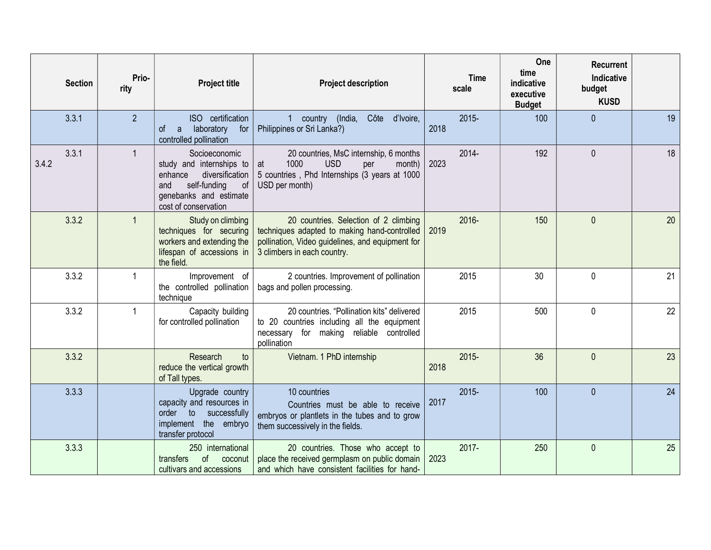| <b>Section</b> | Prio-<br>rity  | <b>Project title</b>                                                                                                                                   | <b>Project description</b>                                                                                                                                               | <b>Time</b><br>scale | One<br>time<br>indicative<br>executive<br><b>Budget</b> | <b>Recurrent</b><br>Indicative<br>budget<br><b>KUSD</b> |    |
|----------------|----------------|--------------------------------------------------------------------------------------------------------------------------------------------------------|--------------------------------------------------------------------------------------------------------------------------------------------------------------------------|----------------------|---------------------------------------------------------|---------------------------------------------------------|----|
| 3.3.1          | $\overline{2}$ | ISO certification<br>οf<br>laboratory<br>for<br>a<br>controlled pollination                                                                            | 1 country (India,<br>Côte d'Ivoire,<br>Philippines or Sri Lanka?)                                                                                                        | $2015 -$<br>2018     | 100                                                     | $\mathbf{0}$                                            | 19 |
| 3.3.1<br>3.4.2 | $\mathbf{1}$   | Socioeconomic<br>study and internships to<br>diversification<br>enhance<br>self-funding<br>of<br>and<br>genebanks and estimate<br>cost of conservation | 20 countries, MsC internship, 6 months<br>1000<br><b>USD</b><br>per<br>month)<br>at<br>5 countries, Phd Internships (3 years at 1000<br>USD per month)                   | 2014-<br>2023        | 192                                                     | $\mathbf 0$                                             | 18 |
| 3.3.2          | $\mathbf{1}$   | Study on climbing<br>techniques for securing<br>workers and extending the<br>lifespan of accessions in<br>the field.                                   | 20 countries. Selection of 2 climbing<br>techniques adapted to making hand-controlled<br>pollination, Video guidelines, and equipment for<br>3 climbers in each country. | 2016-<br>2019        | 150                                                     | $\mathbf{0}$                                            | 20 |
| 3.3.2          | $\mathbf{1}$   | Improvement of<br>the controlled pollination<br>technique                                                                                              | 2 countries. Improvement of pollination<br>bags and pollen processing.                                                                                                   | 2015                 | 30                                                      | $\mathbf 0$                                             | 21 |
| 3.3.2          | $\mathbf 1$    | Capacity building<br>for controlled pollination                                                                                                        | 20 countries. "Pollination kits" delivered<br>to 20 countries including all the equipment<br>necessary for making reliable controlled<br>pollination                     | 2015                 | 500                                                     | $\mathbf 0$                                             | 22 |
| 3.3.2          |                | Research<br>to<br>reduce the vertical growth<br>of Tall types.                                                                                         | Vietnam. 1 PhD internship                                                                                                                                                | $2015 -$<br>2018     | 36                                                      | $\mathbf{0}$                                            | 23 |
| 3.3.3          |                | Upgrade country<br>capacity and resources in<br>order to<br>successfully<br>implement the embryo<br>transfer protocol                                  | 10 countries<br>Countries must be able to receive<br>embryos or plantlets in the tubes and to grow<br>them successively in the fields.                                   | $2015 -$<br>2017     | 100                                                     | $\mathbf{0}$                                            | 24 |
| 3.3.3          |                | 250 international<br><sub>of</sub><br>transfers<br>coconut<br>cultivars and accessions                                                                 | 20 countries. Those who accept to<br>place the received germplasm on public domain<br>and which have consistent facilities for hand-                                     | 2017-<br>2023        | 250                                                     | $\mathbf{0}$                                            | 25 |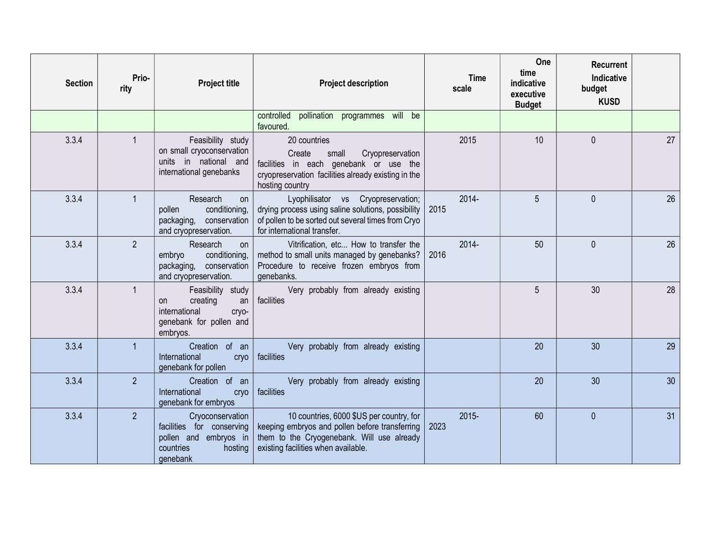| <b>Section</b> | Prio-<br>rity  | <b>Project title</b>                                                                                        | <b>Project description</b>                                                                                                                                                       | <b>Time</b><br>scale | One<br>time<br>indicative<br>executive<br><b>Budget</b> | <b>Recurrent</b><br>Indicative<br>budget<br><b>KUSD</b> |    |
|----------------|----------------|-------------------------------------------------------------------------------------------------------------|----------------------------------------------------------------------------------------------------------------------------------------------------------------------------------|----------------------|---------------------------------------------------------|---------------------------------------------------------|----|
|                |                |                                                                                                             | pollination programmes will be<br>controlled<br>favoured.                                                                                                                        |                      |                                                         |                                                         |    |
| 3.3.4          | $\mathbf{1}$   | Feasibility study<br>on small cryoconservation<br>units in national and<br>international genebanks          | 20 countries<br>Cryopreservation<br>Create<br>small<br>facilities in each genebank or use the<br>cryopreservation facilities already existing in the<br>hosting country          | 2015                 | 10                                                      | $\mathbf{0}$                                            | 27 |
| 3.3.4          | $\mathbf 1$    | Research<br>on<br>conditioning,<br>pollen<br>packaging, conservation<br>and cryopreservation.               | Lyophilisator vs<br>Cryopreservation;<br>drying process using saline solutions, possibility<br>of pollen to be sorted out several times from Cryo<br>for international transfer. | 2014-<br>2015        | 5                                                       | $\Omega$                                                | 26 |
| 3.3.4          | $\overline{2}$ | Research<br><b>on</b><br>conditioning,<br>embryo<br>packaging, conservation<br>and cryopreservation.        | Vitrification, etc How to transfer the<br>method to small units managed by genebanks?<br>Procedure to receive frozen embryos from<br>genebanks.                                  | $2014 -$<br>2016     | 50                                                      | $\theta$                                                | 26 |
| 3.3.4          | $\mathbf{1}$   | Feasibility study<br>creating<br>an<br>on.<br>international<br>cryo-<br>genebank for pollen and<br>embryos. | Very probably from already existing<br>facilities                                                                                                                                |                      | 5                                                       | 30                                                      | 28 |
| 3.3.4          | 1              | Creation of an<br>International<br>cryo<br>genebank for pollen                                              | Very probably from already existing<br>facilities                                                                                                                                |                      | 20                                                      | 30                                                      | 29 |
| 3.3.4          | $\overline{2}$ | Creation of an<br>International<br>cryo<br>genebank for embryos                                             | Very probably from already existing<br>facilities                                                                                                                                |                      | 20                                                      | 30                                                      | 30 |
| 3.3.4          | $\overline{2}$ | Cryoconservation<br>facilities for conserving<br>pollen and embryos in<br>countries<br>hosting<br>qenebank  | 10 countries, 6000 \$US per country, for<br>keeping embryos and pollen before transferring<br>them to the Cryogenebank. Will use already<br>existing facilities when available.  | $2015 -$<br>2023     | 60                                                      | $\mathbf{0}$                                            | 31 |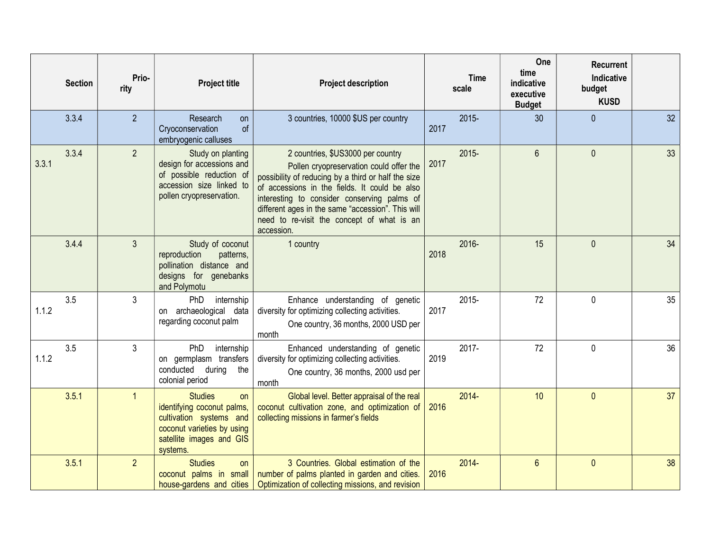|       | <b>Section</b> | Prio-<br>rity  | <b>Project title</b>                                                                                                                                       | <b>Project description</b>                                                                                                                                                                                                                                                                                                                           | <b>Time</b><br>scale | One<br>time<br>indicative<br>executive<br><b>Budget</b> | <b>Recurrent</b><br><b>Indicative</b><br>budget<br><b>KUSD</b> |    |
|-------|----------------|----------------|------------------------------------------------------------------------------------------------------------------------------------------------------------|------------------------------------------------------------------------------------------------------------------------------------------------------------------------------------------------------------------------------------------------------------------------------------------------------------------------------------------------------|----------------------|---------------------------------------------------------|----------------------------------------------------------------|----|
|       | 3.3.4          | $\overline{2}$ | Research<br><b>on</b><br>of<br>Cryoconservation<br>embryogenic calluses                                                                                    | 3 countries, 10000 \$US per country                                                                                                                                                                                                                                                                                                                  | $2015 -$<br>2017     | 30                                                      | $\theta$                                                       | 32 |
| 3.3.1 | 3.3.4          | 2 <sup>2</sup> | Study on planting<br>design for accessions and<br>of possible reduction of<br>accession size linked to<br>pollen cryopreservation.                         | 2 countries, \$US3000 per country<br>Pollen cryopreservation could offer the<br>possibility of reducing by a third or half the size<br>of accessions in the fields. It could be also<br>interesting to consider conserving palms of<br>different ages in the same "accession". This will<br>need to re-visit the concept of what is an<br>accession. | $2015 -$<br>2017     | $6\phantom{a}$                                          | $\mathbf{0}$                                                   | 33 |
|       | 3.4.4          | 3              | Study of coconut<br>reproduction<br>patterns,<br>pollination distance and<br>designs for genebanks<br>and Polymotu                                         | 1 country                                                                                                                                                                                                                                                                                                                                            | 2016-<br>2018        | 15                                                      | $\mathbf{0}$                                                   | 34 |
| 1.1.2 | 3.5            | 3              | internship<br><b>PhD</b><br>on archaeological data<br>regarding coconut palm                                                                               | Enhance understanding of genetic<br>diversity for optimizing collecting activities.<br>One country, 36 months, 2000 USD per<br>month                                                                                                                                                                                                                 | 2015-<br>2017        | 72                                                      | $\mathbf{0}$                                                   | 35 |
| 1.1.2 | 3.5            | 3              | PhD<br>internship<br>on germplasm transfers<br>conducted during<br>the<br>colonial period                                                                  | Enhanced understanding of genetic<br>diversity for optimizing collecting activities.<br>One country, 36 months, 2000 usd per<br>month                                                                                                                                                                                                                | 2017-<br>2019        | 72                                                      | $\mathbf{0}$                                                   | 36 |
|       | 3.5.1          | $\mathbf{1}$   | <b>Studies</b><br><b>on</b><br>identifying coconut palms,<br>cultivation systems and<br>coconut varieties by using<br>satellite images and GIS<br>systems. | Global level. Better appraisal of the real<br>coconut cultivation zone, and optimization of<br>collecting missions in farmer's fields                                                                                                                                                                                                                | $2014 -$<br>2016     | 10                                                      | $\mathbf{0}$                                                   | 37 |
|       | 3.5.1          | $\overline{2}$ | <b>Studies</b><br>on<br>coconut palms in small                                                                                                             | 3 Countries. Global estimation of the<br>number of palms planted in garden and cities.<br>house-gardens and cities   Optimization of collecting missions, and revision                                                                                                                                                                               | $2014 -$<br>2016     | $6\phantom{1}$                                          | $\mathbf{0}$                                                   | 38 |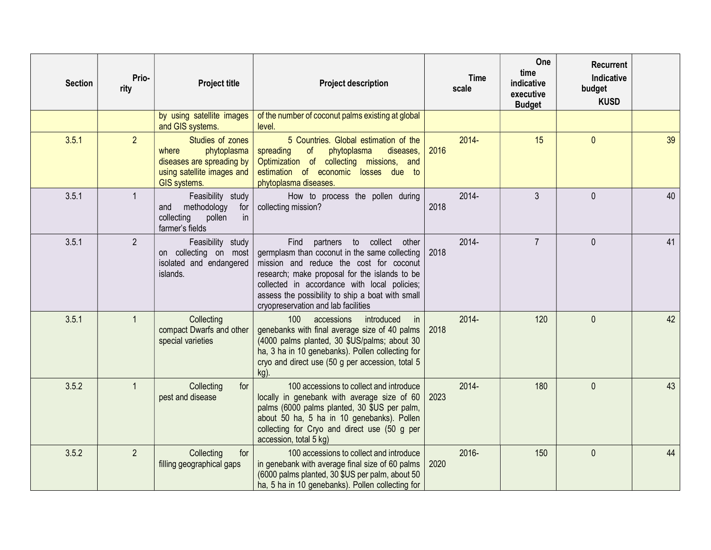| <b>Section</b> | Prio-<br>rity  | <b>Project title</b>                                                                                                | <b>Project description</b>                                                                                                                                                                                                                                                                                                         | <b>Time</b><br>scale | One<br>time<br>indicative<br>executive<br><b>Budget</b> | <b>Recurrent</b><br>Indicative<br>budget<br><b>KUSD</b> |    |
|----------------|----------------|---------------------------------------------------------------------------------------------------------------------|------------------------------------------------------------------------------------------------------------------------------------------------------------------------------------------------------------------------------------------------------------------------------------------------------------------------------------|----------------------|---------------------------------------------------------|---------------------------------------------------------|----|
|                |                | by using satellite images<br>and GIS systems.                                                                       | of the number of coconut palms existing at global<br>level.                                                                                                                                                                                                                                                                        |                      |                                                         |                                                         |    |
| 3.5.1          | $\overline{2}$ | Studies of zones<br>phytoplasma<br>where<br>diseases are spreading by<br>using satellite images and<br>GIS systems. | 5 Countries. Global estimation of the<br>spreading<br>of<br>phytoplasma<br>diseases,<br>Optimization of collecting missions, and<br>estimation of economic losses due to<br>phytoplasma diseases.                                                                                                                                  | $2014 -$<br>2016     | 15                                                      | $\mathbf{0}$                                            | 39 |
| 3.5.1          | $\mathbf{1}$   | Feasibility study<br>methodology<br>for<br>and<br>collecting<br>pollen<br>in<br>farmer's fields                     | How to process the pollen during<br>collecting mission?                                                                                                                                                                                                                                                                            | 2014-<br>2018        | 3                                                       | $\mathbf{0}$                                            | 40 |
| 3.5.1          | $\overline{2}$ | Feasibility study<br>on collecting on most<br>isolated and endangered<br>islands.                                   | partners<br>to<br>collect<br>Find<br>other<br>germplasm than coconut in the same collecting<br>mission and reduce the cost for coconut<br>research; make proposal for the islands to be<br>collected in accordance with local policies;<br>assess the possibility to ship a boat with small<br>cryopreservation and lab facilities | 2014-<br>2018        | $\overline{7}$                                          | $\theta$                                                | 41 |
| 3.5.1          | $\overline{1}$ | Collecting<br>compact Dwarfs and other<br>special varieties                                                         | 100<br>accessions<br>introduced<br>in<br>genebanks with final average size of 40 palms<br>(4000 palms planted, 30 \$US/palms; about 30<br>ha, 3 ha in 10 genebanks). Pollen collecting for<br>cryo and direct use (50 g per accession, total 5<br>kg).                                                                             | 2014-<br>2018        | 120                                                     | $\theta$                                                | 42 |
| 3.5.2          | $\overline{1}$ | for<br>Collecting<br>pest and disease                                                                               | 100 accessions to collect and introduce<br>locally in genebank with average size of 60<br>palms (6000 palms planted, 30 \$US per palm,<br>about 50 ha, 5 ha in 10 genebanks). Pollen<br>collecting for Cryo and direct use (50 g per<br>accession, total 5 kg)                                                                     | 2014-<br>2023        | 180                                                     | $\mathbf{0}$                                            | 43 |
| 3.5.2          | $\overline{2}$ | Collecting<br>for<br>filling geographical gaps                                                                      | 100 accessions to collect and introduce<br>in genebank with average final size of 60 palms<br>(6000 palms planted, 30 \$US per palm, about 50<br>ha, 5 ha in 10 genebanks). Pollen collecting for                                                                                                                                  | 2016-<br>2020        | 150                                                     | $\mathbf{0}$                                            | 44 |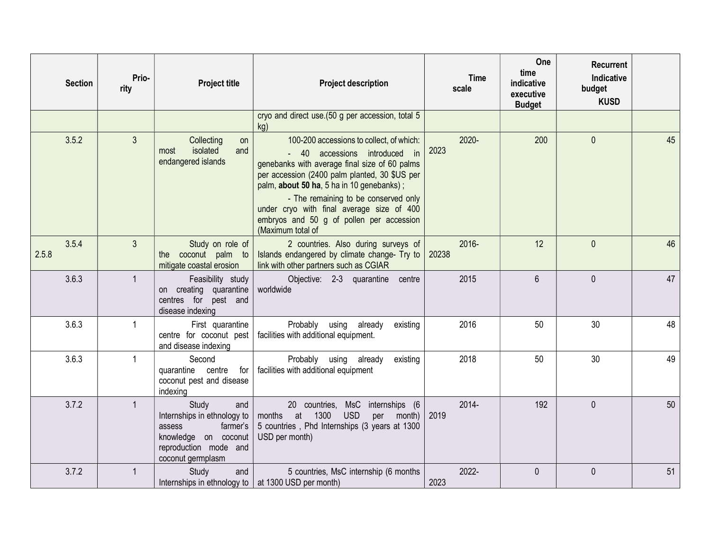|       | <b>Section</b> | Prio-<br>rity  | <b>Project title</b>                                                                                                                    | <b>Project description</b>                                                                                                                                                                                                                                       | <b>Time</b><br>scale | One<br>time<br>indicative<br>executive<br><b>Budget</b> | <b>Recurrent</b><br>Indicative<br>budget<br><b>KUSD</b> |    |
|-------|----------------|----------------|-----------------------------------------------------------------------------------------------------------------------------------------|------------------------------------------------------------------------------------------------------------------------------------------------------------------------------------------------------------------------------------------------------------------|----------------------|---------------------------------------------------------|---------------------------------------------------------|----|
|       |                |                |                                                                                                                                         | cryo and direct use.(50 g per accession, total 5<br>kg)                                                                                                                                                                                                          |                      |                                                         |                                                         |    |
|       | 3.5.2          | $\overline{3}$ | Collecting<br>on<br>isolated<br>and<br>most<br>endangered islands                                                                       | 100-200 accessions to collect, of which:<br>- 40 accessions introduced in<br>genebanks with average final size of 60 palms<br>per accession (2400 palm planted, 30 \$US per<br>palm, about 50 ha, 5 ha in 10 genebanks);<br>- The remaining to be conserved only | 2020-<br>2023        | 200                                                     | $\mathbf{0}$                                            | 45 |
|       |                |                |                                                                                                                                         | under cryo with final average size of 400<br>embryos and 50 g of pollen per accession<br>(Maximum total of                                                                                                                                                       |                      |                                                         |                                                         |    |
| 2.5.8 | 3.5.4          | $\mathbf{3}$   | Study on role of<br>the coconut palm to<br>mitigate coastal erosion                                                                     | 2 countries. Also during surveys of<br>Islands endangered by climate change- Try to<br>link with other partners such as CGIAR                                                                                                                                    | 2016-<br>20238       | 12                                                      | $\mathbf{0}$                                            | 46 |
|       | 3.6.3          | $\mathbf{1}$   | Feasibility study<br>on creating quarantine<br>centres for pest and<br>disease indexing                                                 | Objective: 2-3 quarantine centre<br>worldwide                                                                                                                                                                                                                    | 2015                 | $6\overline{6}$                                         | $\Omega$                                                | 47 |
|       | 3.6.3          | $\mathbf{1}$   | First quarantine<br>centre for coconut pest<br>and disease indexing                                                                     | Probably using<br>already<br>existing<br>facilities with additional equipment.                                                                                                                                                                                   | 2016                 | 50                                                      | 30                                                      | 48 |
|       | 3.6.3          | $\mathbf{1}$   | Second<br>quarantine centre<br>for<br>coconut pest and disease<br>indexing                                                              | Probably using already<br>existing<br>facilities with additional equipment                                                                                                                                                                                       | 2018                 | 50                                                      | 30                                                      | 49 |
|       | 3.7.2          | $\mathbf{1}$   | Study<br>and<br>Internships in ethnology to<br>farmer's<br>assess<br>knowledge on coconut<br>reproduction mode and<br>coconut germplasm | 20 countries, MsC internships (6<br>months<br>at<br>1300<br><b>USD</b><br>month)<br>per<br>5 countries, Phd Internships (3 years at 1300<br>USD per month)                                                                                                       | 2014-<br>2019        | 192                                                     | $\mathbf{0}$                                            | 50 |
|       | 3.7.2          | $\mathbf{1}$   | Study<br>and<br>Internships in ethnology to $\vert$ at 1300 USD per month)                                                              | 5 countries, MsC internship (6 months                                                                                                                                                                                                                            | 2022-<br>2023        | $\mathbf 0$                                             | $\mathbf{0}$                                            | 51 |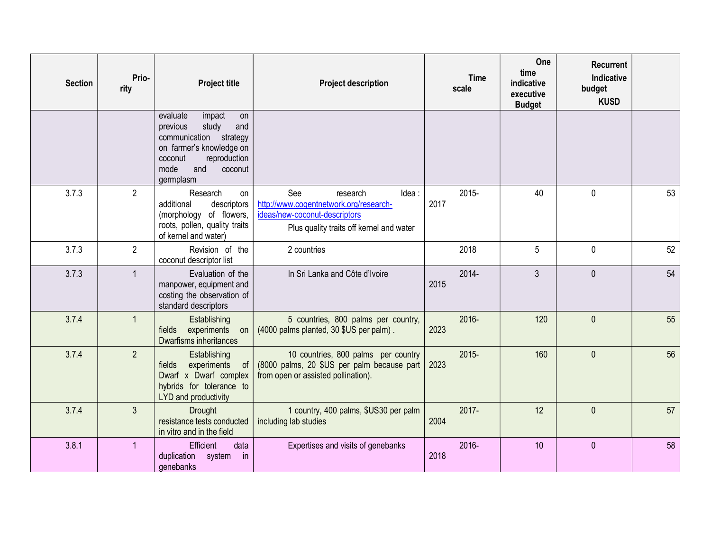| <b>Section</b> | Prio-<br>rity  | <b>Project title</b>                                                                                                                                                         | <b>Project description</b>                                                                                                                      | <b>Time</b><br>scale | One<br>time<br>indicative<br>executive<br><b>Budget</b> | <b>Recurrent</b><br>Indicative<br>budget<br><b>KUSD</b> |    |
|----------------|----------------|------------------------------------------------------------------------------------------------------------------------------------------------------------------------------|-------------------------------------------------------------------------------------------------------------------------------------------------|----------------------|---------------------------------------------------------|---------------------------------------------------------|----|
|                |                | evaluate<br>impact<br>on<br>study<br>and<br>previous<br>communication strategy<br>on farmer's knowledge on<br>reproduction<br>coconut<br>mode<br>and<br>coconut<br>germplasm |                                                                                                                                                 |                      |                                                         |                                                         |    |
| 3.7.3          | $\overline{2}$ | Research<br>on<br>additional<br>descriptors<br>(morphology of flowers,<br>roots, pollen, quality traits<br>of kernel and water)                                              | See<br>Idea:<br>research<br>http://www.cogentnetwork.org/research-<br>ideas/new-coconut-descriptors<br>Plus quality traits off kernel and water | $2015 -$<br>2017     | 40                                                      | $\mathbf 0$                                             | 53 |
| 3.7.3          | $\overline{2}$ | Revision of the<br>coconut descriptor list                                                                                                                                   | 2 countries                                                                                                                                     | 2018                 | 5                                                       | $\mathbf 0$                                             | 52 |
| 3.7.3          | $\mathbf{1}$   | Evaluation of the<br>manpower, equipment and<br>costing the observation of<br>standard descriptors                                                                           | In Sri Lanka and Côte d'Ivoire                                                                                                                  | 2014-<br>2015        | $\mathfrak{Z}$                                          | $\mathbf 0$                                             | 54 |
| 3.7.4          | $\mathbf{1}$   | Establishing<br>experiments<br>fields<br>on<br><b>Dwarfisms inheritances</b>                                                                                                 | 5 countries, 800 palms per country,<br>(4000 palms planted, 30 \$US per palm).                                                                  | 2016-<br>2023        | 120                                                     | $\mathbf 0$                                             | 55 |
| 3.7.4          | $\overline{2}$ | Establishing<br>experiments<br>fields<br>of<br>Dwarf x Dwarf complex<br>hybrids for tolerance to<br>LYD and productivity                                                     | 10 countries, 800 palms per country<br>(8000 palms, 20 \$US per palm because part<br>from open or assisted pollination).                        | $2015 -$<br>2023     | 160                                                     | $\mathbf 0$                                             | 56 |
| 3.7.4          | 3              | <b>Drought</b><br>resistance tests conducted<br>in vitro and in the field                                                                                                    | 1 country, 400 palms, \$US30 per palm<br>including lab studies                                                                                  | 2017-<br>2004        | 12                                                      | $\mathbf 0$                                             | 57 |
| 3.8.1          | $\overline{1}$ | Efficient<br>data<br>duplication system<br>$\mathsf{in}$<br>genebanks                                                                                                        | Expertises and visits of genebanks                                                                                                              | 2016-<br>2018        | 10                                                      | $\mathbf{0}$                                            | 58 |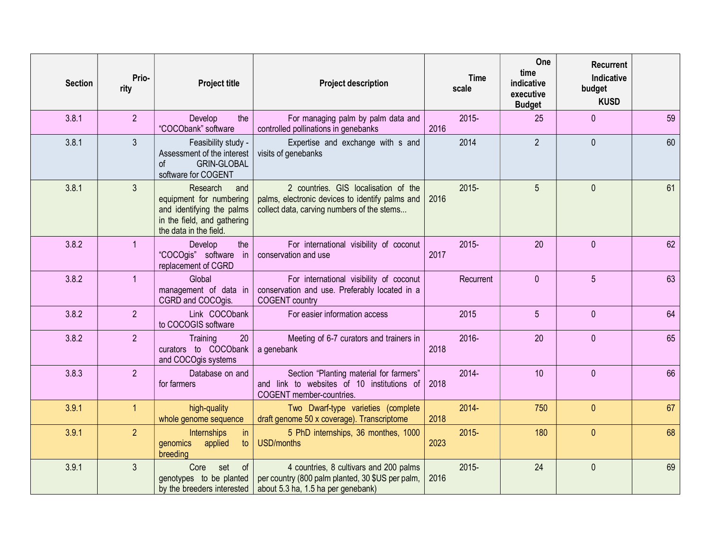| <b>Section</b> | Prio-<br>rity  | <b>Project title</b>                                                                                                             | <b>Project description</b>                                                                                                                                          | <b>Time</b><br>scale | One<br>time<br>indicative<br>executive<br><b>Budget</b> | <b>Recurrent</b><br><b>Indicative</b><br>budget<br><b>KUSD</b> |    |
|----------------|----------------|----------------------------------------------------------------------------------------------------------------------------------|---------------------------------------------------------------------------------------------------------------------------------------------------------------------|----------------------|---------------------------------------------------------|----------------------------------------------------------------|----|
| 3.8.1          | $\overline{2}$ | the<br>Develop<br>"COCObank" software                                                                                            | For managing palm by palm data and<br>controlled pollinations in genebanks                                                                                          | $2015 -$<br>2016     | 25                                                      | $\mathbf{0}$                                                   | 59 |
| 3.8.1          | $\overline{3}$ | Feasibility study -<br>Assessment of the interest<br>of<br><b>GRIN-GLOBAL</b><br>software for COGENT                             | Expertise and exchange with s and<br>visits of genebanks                                                                                                            | 2014                 | $\overline{2}$                                          | $\Omega$                                                       | 60 |
| 3.8.1          | $\overline{3}$ | Research<br>and<br>equipment for numbering<br>and identifying the palms<br>in the field, and gathering<br>the data in the field. | 2 countries. GIS localisation of the<br>palms, electronic devices to identify palms and<br>collect data, carving numbers of the stems                               | $2015 -$<br>2016     | 5                                                       | $\mathbf{0}$                                                   | 61 |
| 3.8.2          | $\mathbf{1}$   | Develop<br>the<br>"COCOgis" software in<br>replacement of CGRD                                                                   | For international visibility of coconut<br>conservation and use                                                                                                     | $2015 -$<br>2017     | 20                                                      | $\mathbf{0}$                                                   | 62 |
| 3.8.2          | $\mathbf{1}$   | Global<br>management of data in<br>CGRD and COCOgis.                                                                             | For international visibility of coconut<br>conservation and use. Preferably located in a<br><b>COGENT</b> country                                                   | Recurrent            | $\mathbf{0}$                                            | 5                                                              | 63 |
| 3.8.2          | $\overline{2}$ | Link COCObank<br>to COCOGIS software                                                                                             | For easier information access                                                                                                                                       | 2015                 | 5                                                       | $\mathbf{0}$                                                   | 64 |
| 3.8.2          | $\overline{2}$ | 20<br>Training<br>curators to COCObank<br>and COCOgis systems                                                                    | Meeting of 6-7 curators and trainers in<br>a genebank                                                                                                               | 2016-<br>2018        | 20                                                      | $\mathbf{0}$                                                   | 65 |
| 3.8.3          | $\overline{2}$ | Database on and<br>for farmers                                                                                                   | Section "Planting material for farmers"<br>and link to websites of 10 institutions of<br>COGENT member-countries.                                                   | 2014-<br>2018        | 10                                                      | $\mathbf{0}$                                                   | 66 |
| 3.9.1          | $\mathbf{1}$   | high-quality<br>whole genome sequence                                                                                            | Two Dwarf-type varieties (complete<br>draft genome 50 x coverage). Transcriptome                                                                                    | $2014 -$<br>2018     | 750                                                     | $\mathbf{0}$                                                   | 67 |
| 3.9.1          | 2 <sup>1</sup> | Internships<br>in<br>applied<br>genomics<br>to<br>breeding                                                                       | 5 PhD internships, 36 monthes, 1000<br><b>USD/months</b>                                                                                                            | $2015 -$<br>2023     | 180                                                     | $\mathbf{0}$                                                   | 68 |
| 3.9.1          | $\overline{3}$ | Core<br>set<br>of<br>genotypes to be planted                                                                                     | 4 countries, 8 cultivars and 200 palms<br>per country (800 palm planted, 30 \$US per palm,<br>by the breeders interested $\vert$ about 5.3 ha, 1.5 ha per genebank) | $2015 -$<br>2016     | 24                                                      | $\mathbf{0}$                                                   | 69 |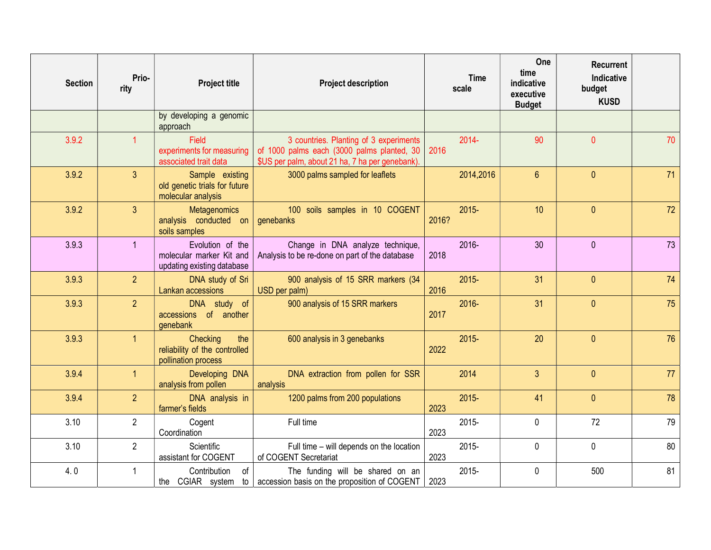| <b>Section</b> | Prio-<br>rity  | <b>Project title</b>                                                       | <b>Project description</b>                                                                                                              | <b>Time</b><br>scale | One<br>time<br>indicative<br>executive<br><b>Budget</b> | <b>Recurrent</b><br>Indicative<br>budget<br><b>KUSD</b> |    |
|----------------|----------------|----------------------------------------------------------------------------|-----------------------------------------------------------------------------------------------------------------------------------------|----------------------|---------------------------------------------------------|---------------------------------------------------------|----|
|                |                | by developing a genomic<br>approach                                        |                                                                                                                                         |                      |                                                         |                                                         |    |
| 3.9.2          | 1              | <b>Field</b><br>experiments for measuring<br>associated trait data         | 3 countries. Planting of 3 experiments<br>of 1000 palms each (3000 palms planted, 30<br>\$US per palm, about 21 ha, 7 ha per genebank). | $2014 -$<br>2016     | 90                                                      | $\mathbf{0}$                                            | 70 |
| 3.9.2          | $\overline{3}$ | Sample existing<br>old genetic trials for future<br>molecular analysis     | 3000 palms sampled for leaflets                                                                                                         | 2014,2016            | $6\phantom{a}$                                          | $\mathbf{0}$                                            | 71 |
| 3.9.2          | $\overline{3}$ | <b>Metagenomics</b><br>analysis conducted on<br>soils samples              | 100 soils samples in 10 COGENT<br>genebanks                                                                                             | $2015 -$<br>2016?    | 10                                                      | $\mathbf{0}$                                            | 72 |
| 3.9.3          | $\overline{1}$ | Evolution of the<br>molecular marker Kit and<br>updating existing database | Change in DNA analyze technique,<br>Analysis to be re-done on part of the database                                                      | 2016-<br>2018        | 30                                                      | $\mathbf{0}$                                            | 73 |
| 3.9.3          | 2 <sup>1</sup> | DNA study of Sri<br>Lankan accessions                                      | 900 analysis of 15 SRR markers (34<br>USD per palm)                                                                                     | $2015 -$<br>2016     | 31                                                      | $\mathbf{0}$                                            | 74 |
| 3.9.3          | 2 <sup>1</sup> | DNA study of<br>accessions of another<br>genebank                          | 900 analysis of 15 SRR markers                                                                                                          | $2016 -$<br>2017     | 31                                                      | $\theta$                                                | 75 |
| 3.9.3          | 1              | Checking<br>the<br>reliability of the controlled<br>pollination process    | 600 analysis in 3 genebanks                                                                                                             | $2015 -$<br>2022     | 20                                                      | $\mathbf{0}$                                            | 76 |
| 3.9.4          | $\mathbf{1}$   | Developing DNA<br>analysis from pollen                                     | DNA extraction from pollen for SSR<br>analysis                                                                                          | 2014                 | $\overline{3}$                                          | $\mathbf{0}$                                            | 77 |
| 3.9.4          | $\overline{2}$ | DNA analysis in<br>farmer's fields                                         | 1200 palms from 200 populations                                                                                                         | $2015 -$<br>2023     | 41                                                      | $\mathbf{0}$                                            | 78 |
| 3.10           | $\overline{2}$ | Cogent<br>Coordination                                                     | Full time                                                                                                                               | 2015-<br>2023        | $\pmb{0}$                                               | 72                                                      | 79 |
| 3.10           | $\overline{2}$ | Scientific<br>assistant for COGENT                                         | Full time - will depends on the location<br>of COGENT Secretariat                                                                       | $2015 -$<br>2023     | $\mathbf 0$                                             | $\mathbf 0$                                             | 80 |
| 4.0            | $\overline{1}$ | Contribution<br>οf<br>the CGIAR system<br>to                               | The funding will be shared on an<br>accession basis on the proposition of COGENT                                                        | $2015 -$<br>2023     | $\mathbf 0$                                             | 500                                                     | 81 |